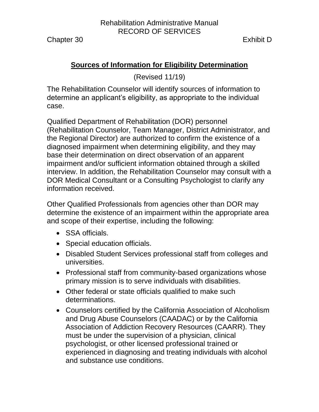Chapter 30 Exhibit D

# **Sources of Information for Eligibility Determination**

(Revised 11/19)

The Rehabilitation Counselor will identify sources of information to determine an applicant's eligibility, as appropriate to the individual case.

Qualified Department of Rehabilitation (DOR) personnel (Rehabilitation Counselor, Team Manager, District Administrator, and the Regional Director) are authorized to confirm the existence of a diagnosed impairment when determining eligibility, and they may base their determination on direct observation of an apparent impairment and/or sufficient information obtained through a skilled interview. In addition, the Rehabilitation Counselor may consult with a DOR Medical Consultant or a Consulting Psychologist to clarify any information received.

Other Qualified Professionals from agencies other than DOR may determine the existence of an impairment within the appropriate area and scope of their expertise, including the following:

- SSA officials.
- Special education officials.
- Disabled Student Services professional staff from colleges and universities.
- Professional staff from community-based organizations whose primary mission is to serve individuals with disabilities.
- Other federal or state officials qualified to make such determinations.
- Counselors certified by the California Association of Alcoholism and Drug Abuse Counselors (CAADAC) or by the California Association of Addiction Recovery Resources (CAARR). They must be under the supervision of a physician, clinical psychologist, or other licensed professional trained or experienced in diagnosing and treating individuals with alcohol and substance use conditions.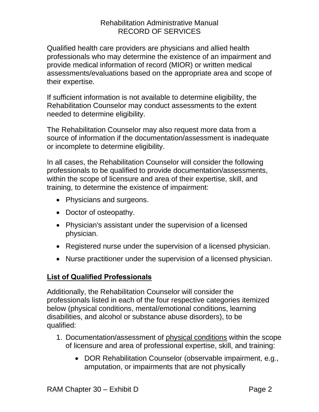Qualified health care providers are physicians and allied health professionals who may determine the existence of an impairment and provide medical information of record (MIOR) or written medical assessments/evaluations based on the appropriate area and scope of their expertise.

If sufficient information is not available to determine eligibility, the Rehabilitation Counselor may conduct assessments to the extent needed to determine eligibility.

The Rehabilitation Counselor may also request more data from a source of information if the documentation/assessment is inadequate or incomplete to determine eligibility.

In all cases, the Rehabilitation Counselor will consider the following professionals to be qualified to provide documentation/assessments, within the scope of licensure and area of their expertise, skill, and training, to determine the existence of impairment:

- Physicians and surgeons.
- Doctor of osteopathy.
- Physician's assistant under the supervision of a licensed physician.
- Registered nurse under the supervision of a licensed physician.
- Nurse practitioner under the supervision of a licensed physician.

# **List of Qualified Professionals**

Additionally, the Rehabilitation Counselor will consider the professionals listed in each of the four respective categories itemized below (physical conditions, mental/emotional conditions, learning disabilities, and alcohol or substance abuse disorders), to be qualified:

- 1. Documentation/assessment of physical conditions within the scope of licensure and area of professional expertise, skill, and training:
	- DOR Rehabilitation Counselor (observable impairment, e.g., amputation, or impairments that are not physically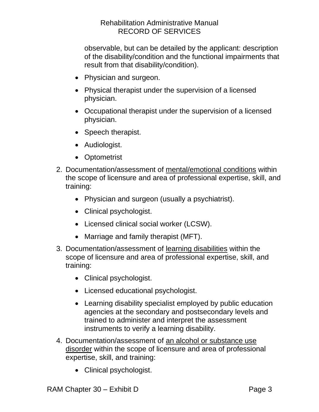### Rehabilitation Administrative Manual RECORD OF SERVICES

observable, but can be detailed by the applicant: description of the disability/condition and the functional impairments that result from that disability/condition).

- Physician and surgeon.
- Physical therapist under the supervision of a licensed physician.
- Occupational therapist under the supervision of a licensed physician.
- Speech therapist.
- Audiologist.
- Optometrist
- 2. Documentation/assessment of mental/emotional conditions within the scope of licensure and area of professional expertise, skill, and training:
	- Physician and surgeon (usually a psychiatrist).
	- Clinical psychologist.
	- Licensed clinical social worker (LCSW).
	- Marriage and family therapist (MFT).
- 3. Documentation/assessment of learning disabilities within the scope of licensure and area of professional expertise, skill, and training:
	- Clinical psychologist.
	- Licensed educational psychologist.
	- Learning disability specialist employed by public education agencies at the secondary and postsecondary levels and trained to administer and interpret the assessment instruments to verify a learning disability.
- 4. Documentation/assessment of an alcohol or substance use disorder within the scope of licensure and area of professional expertise, skill, and training:
	- Clinical psychologist.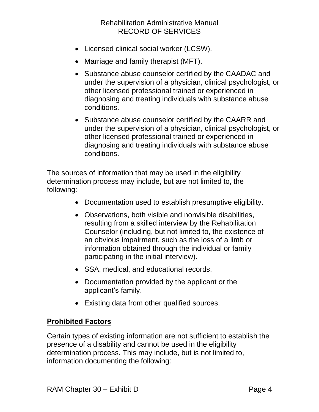### Rehabilitation Administrative Manual RECORD OF SERVICES

- Licensed clinical social worker (LCSW).
- Marriage and family therapist (MFT).
- Substance abuse counselor certified by the CAADAC and under the supervision of a physician, clinical psychologist, or other licensed professional trained or experienced in diagnosing and treating individuals with substance abuse conditions.
- Substance abuse counselor certified by the CAARR and under the supervision of a physician, clinical psychologist, or other licensed professional trained or experienced in diagnosing and treating individuals with substance abuse conditions.

The sources of information that may be used in the eligibility determination process may include, but are not limited to, the following:

- Documentation used to establish presumptive eligibility.
- Observations, both visible and nonvisible disabilities, resulting from a skilled interview by the Rehabilitation Counselor (including, but not limited to, the existence of an obvious impairment, such as the loss of a limb or information obtained through the individual or family participating in the initial interview).
- SSA, medical, and educational records.
- Documentation provided by the applicant or the applicant's family.
- Existing data from other qualified sources.

#### **Prohibited Factors**

Certain types of existing information are not sufficient to establish the presence of a disability and cannot be used in the eligibility determination process. This may include, but is not limited to, information documenting the following: